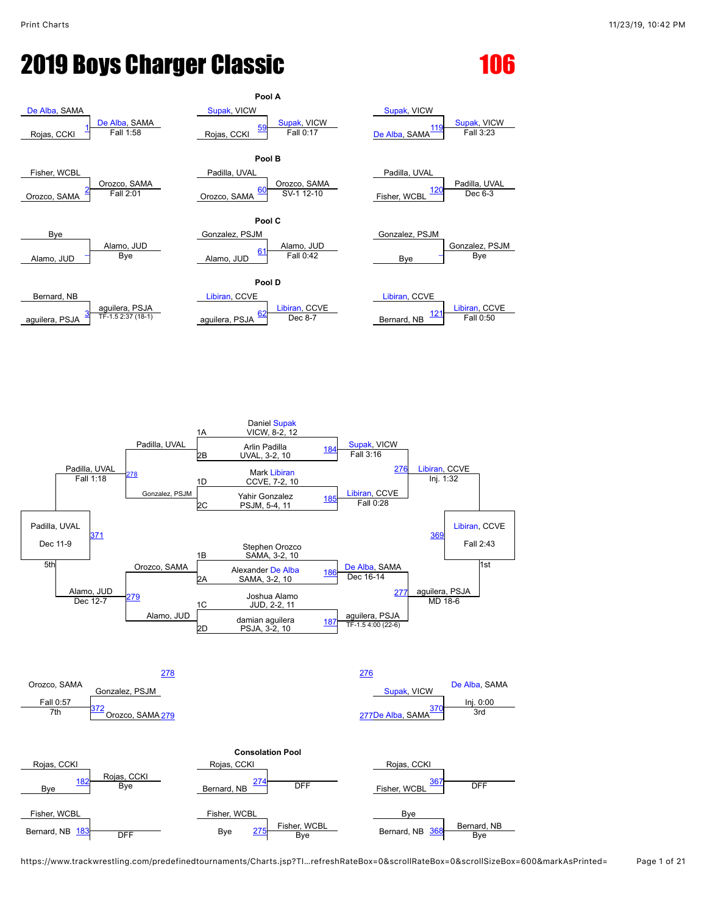## **2019 Boys Charger Classic 2019 106**



https://www.trackwrestling.com/predefinedtournaments/Charts.jsp?TI…refreshRateBox=0&scrollRateBox=0&scrollSizeBox=600&markAsPrinted= Page 1 of 21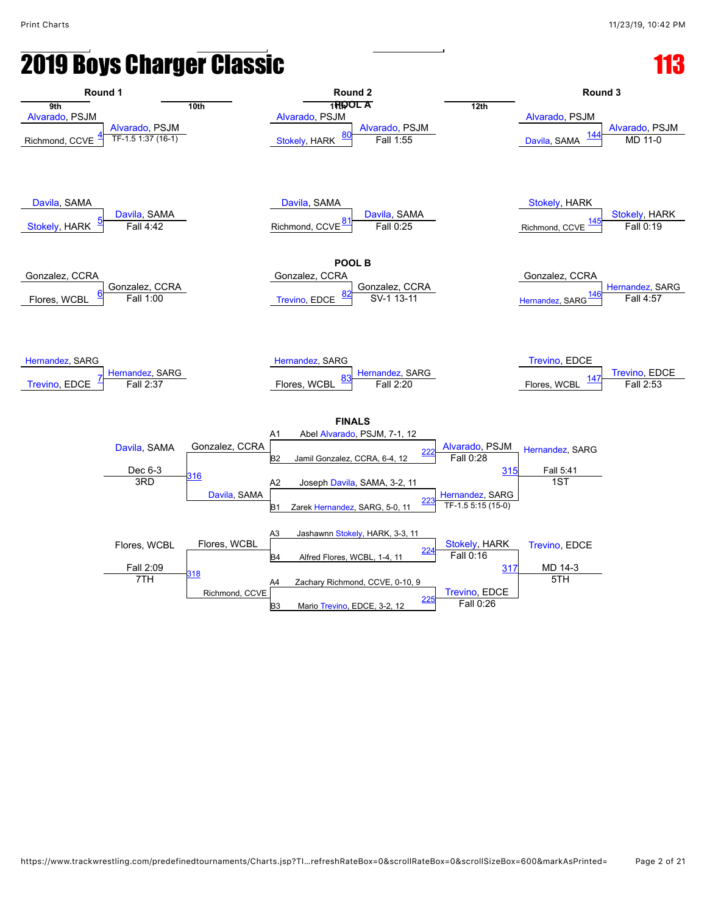## **2019 Boys Charger Classic**

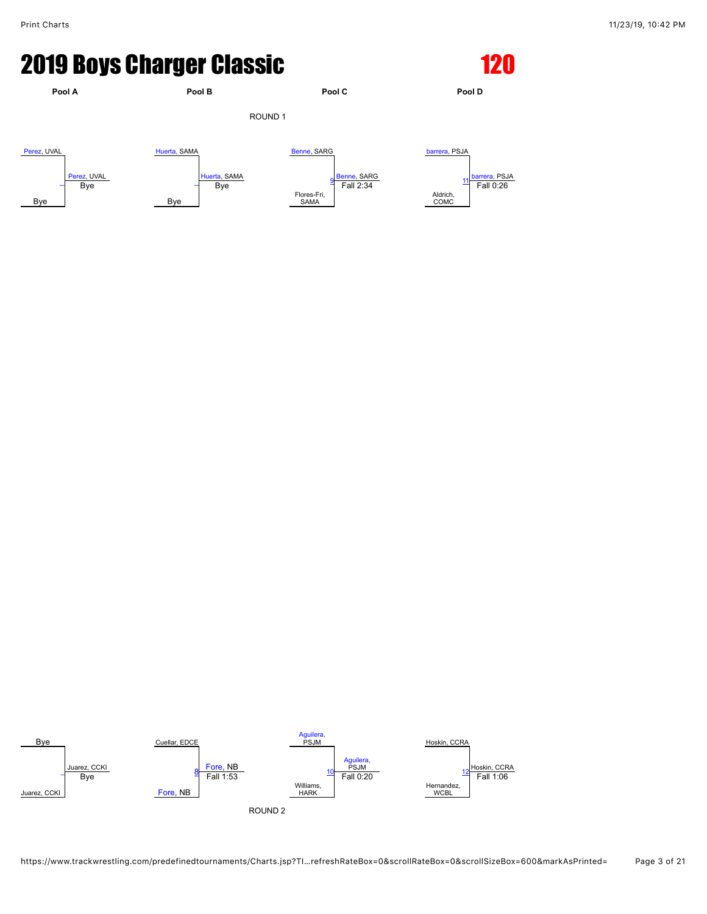### **2019 Boys Charger Classic 120 120**



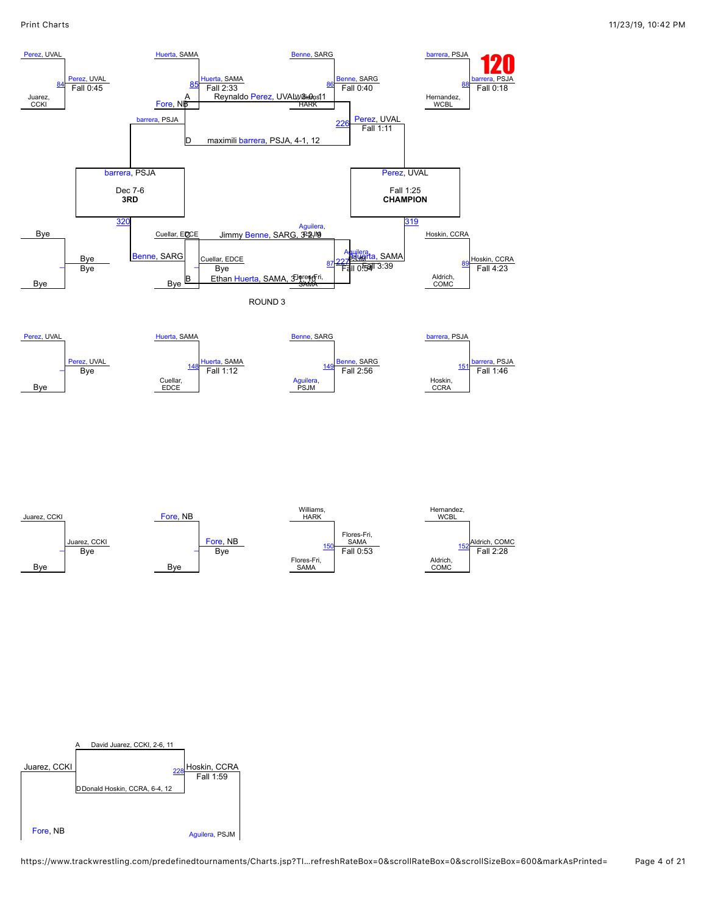

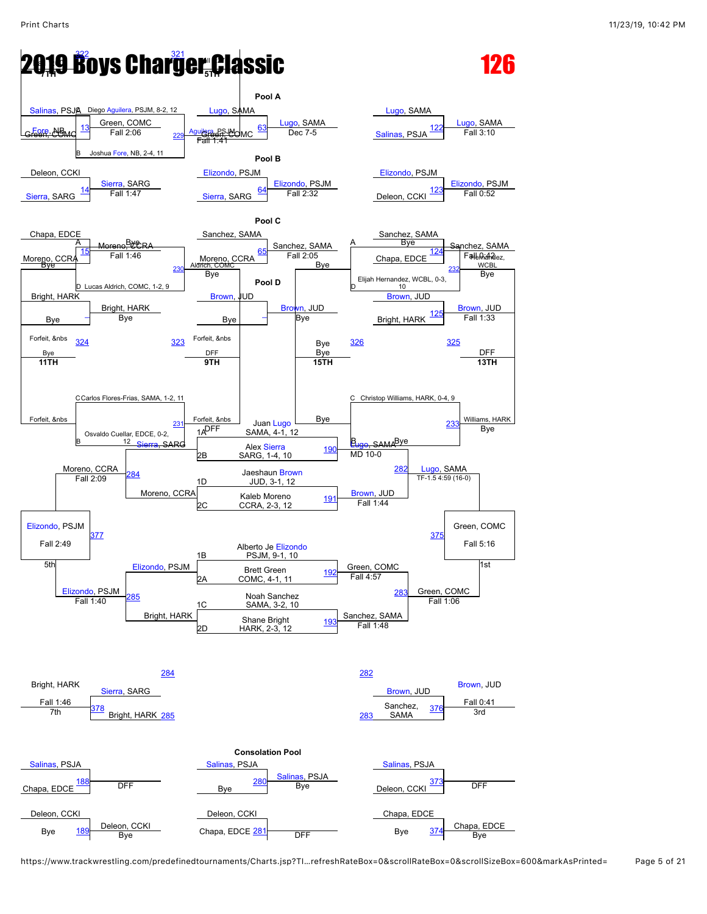

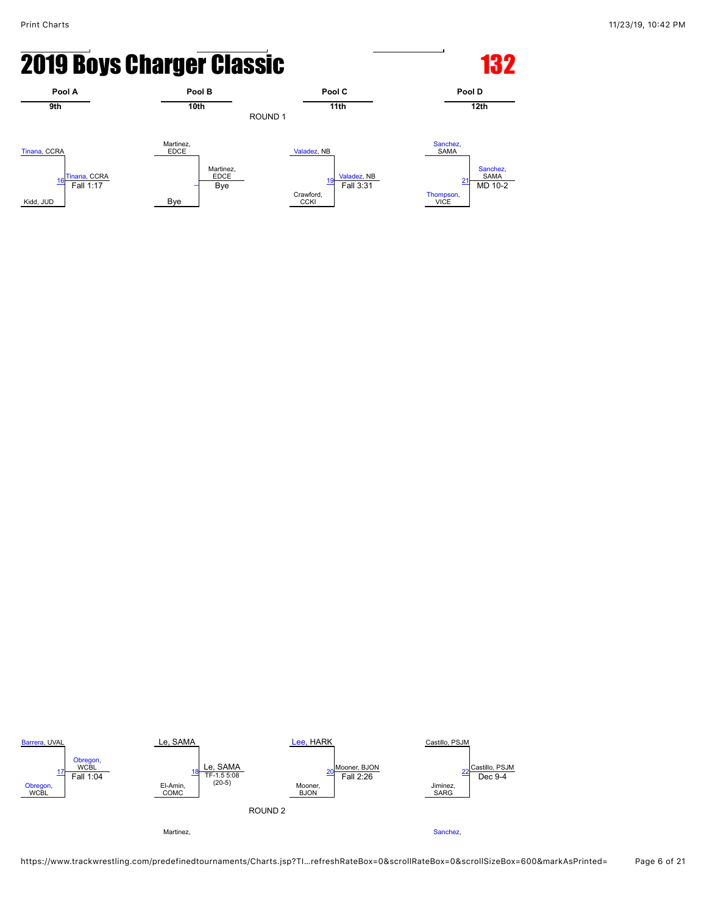# **2019 Boys Charger Classic <b>132** 132





https://www.trackwrestling.com/predefinedtournaments/Charts.jsp?TI…refreshRateBox=0&scrollRateBox=0&scrollSizeBox=600&markAsPrinted= Page 6 of 21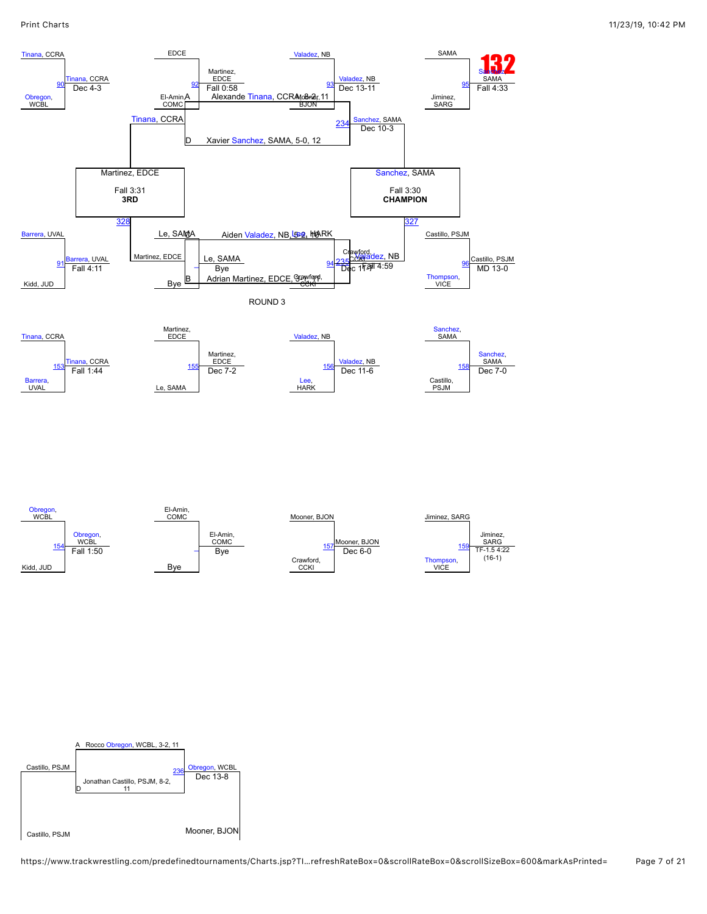

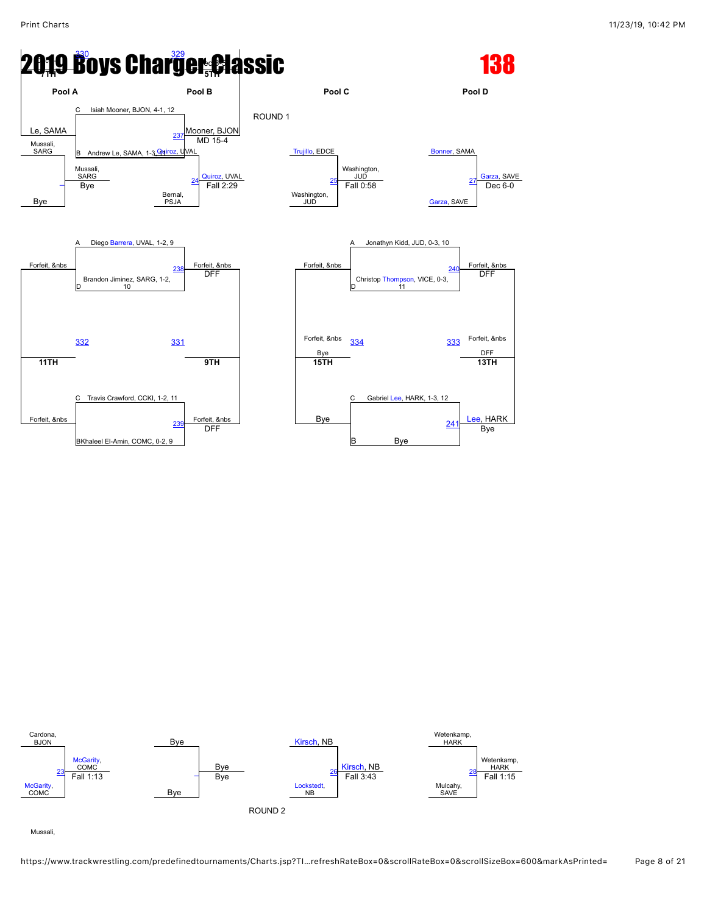



Mussali,

https://www.trackwrestling.com/predefinedtournaments/Charts.jsp?TI…refreshRateBox=0&scrollRateBox=0&scrollSizeBox=600&markAsPrinted= Page 8 of 21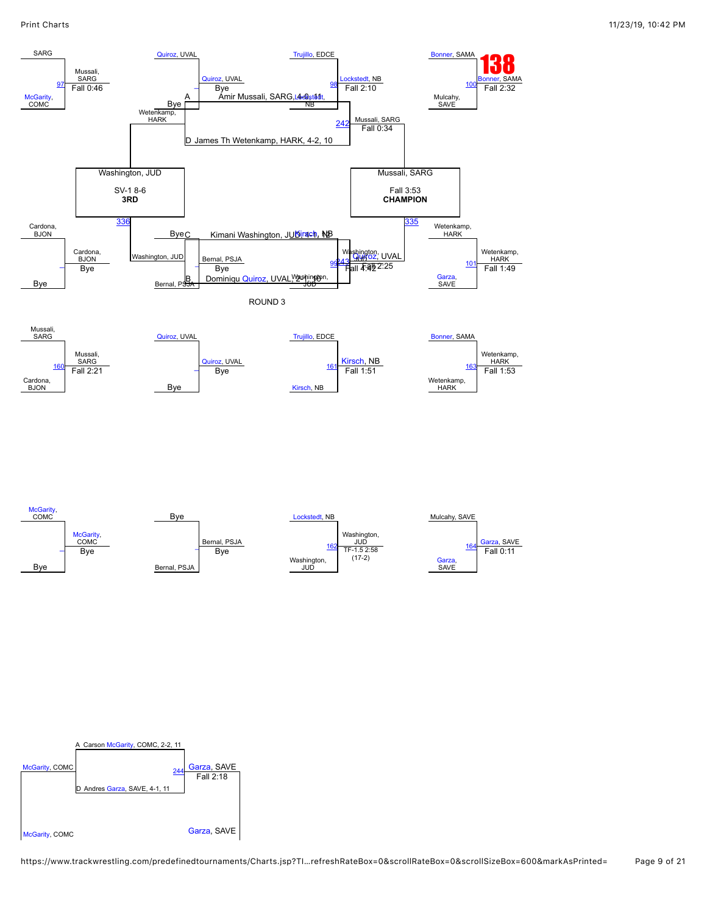



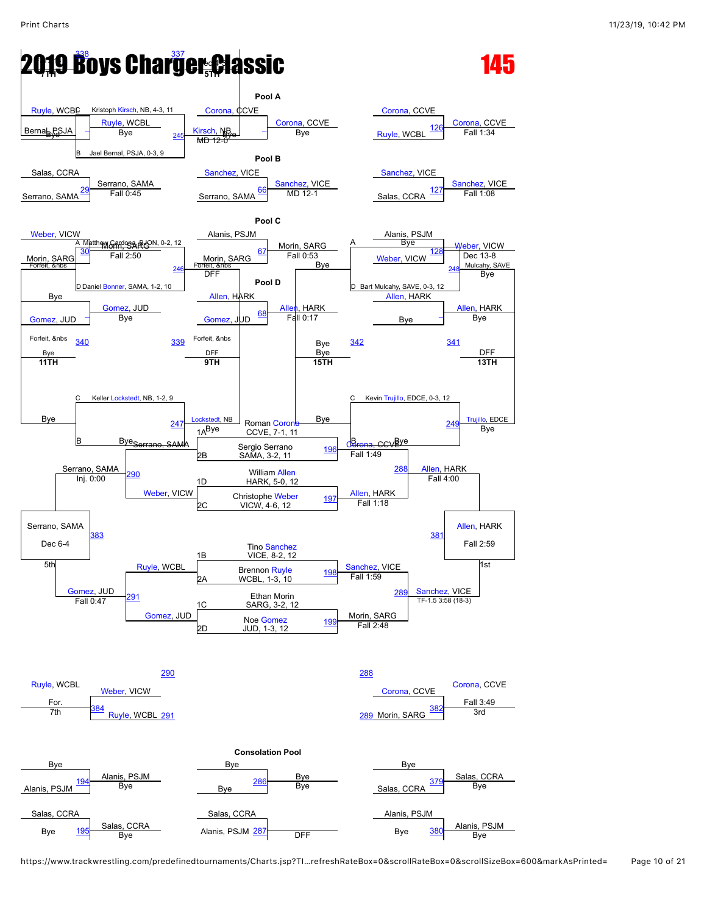### **2019 Boys Charger Classic 7TH 5TH**



https://www.trackwrestling.com/predefinedtournaments/Charts.jsp?TI…refreshRateBox=0&scrollRateBox=0&scrollSizeBox=600&markAsPrinted= Page 10 of 21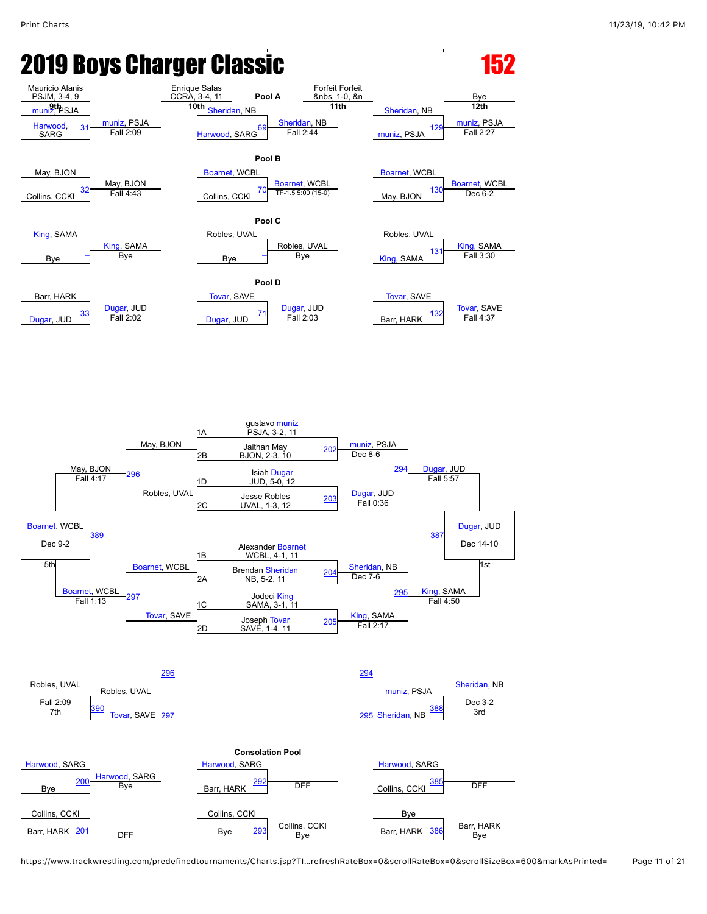# **2019 Boys Charger Classic Communist Class 152**



https://www.trackwrestling.com/predefinedtournaments/Charts.jsp?TI…refreshRateBox=0&scrollRateBox=0&scrollSizeBox=600&markAsPrinted= Page 11 of 21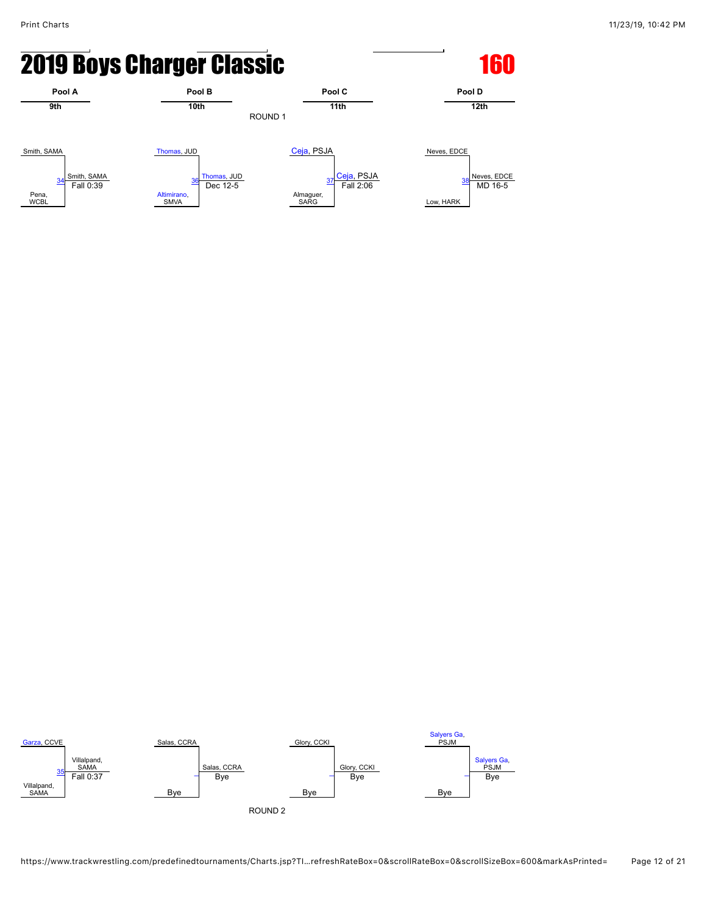# **2019 Boys Charger Classic <b>160** 160



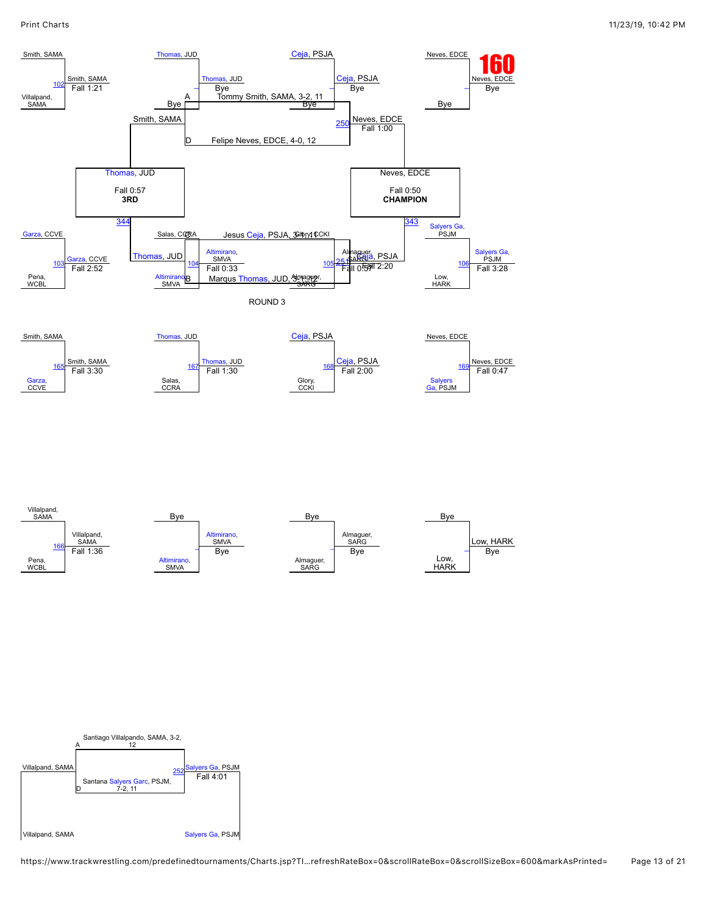

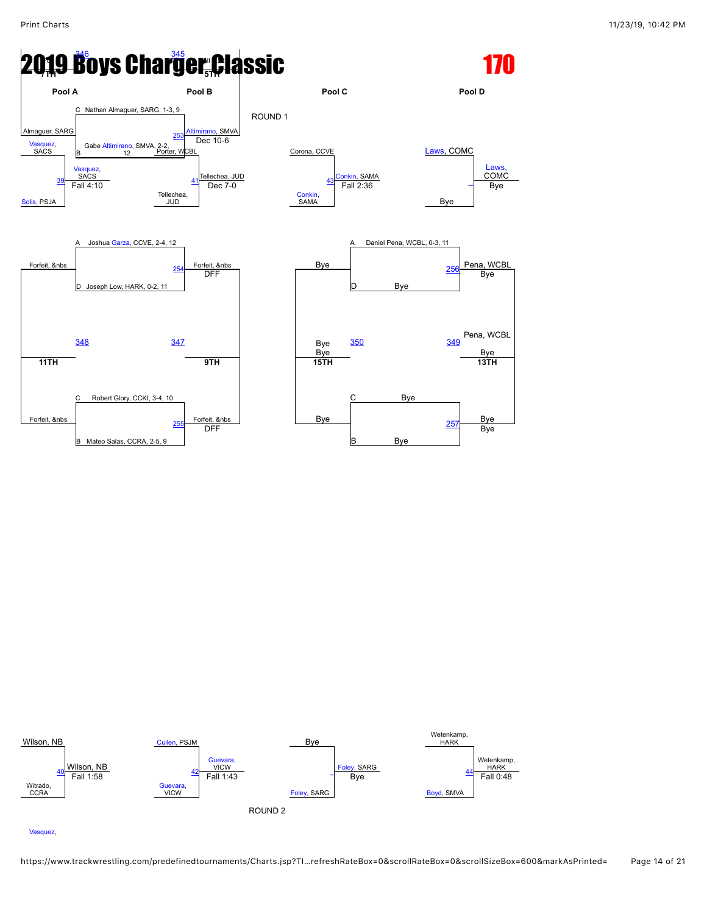



[Vasquez](javascript:viewProfile(345105132)),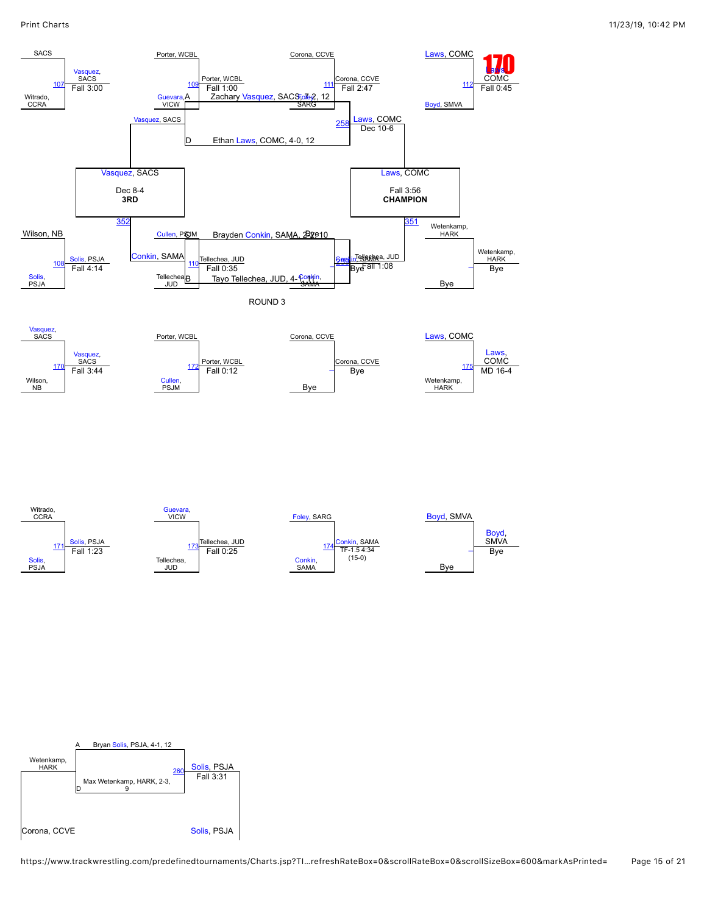

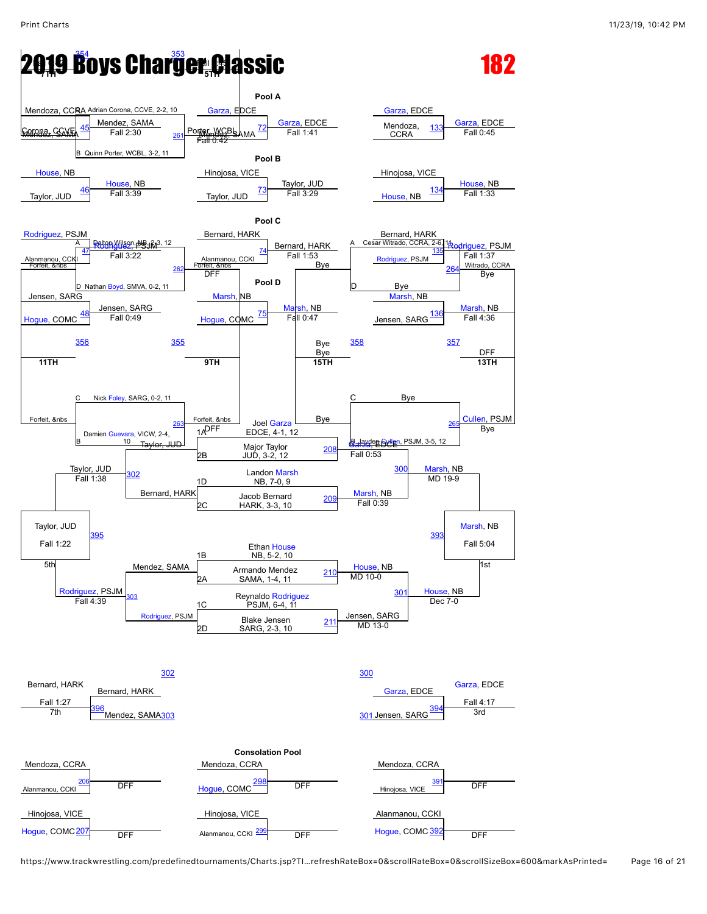#### **2019 Boys Charger Classic 7TH 5TH**



https://www.trackwrestling.com/predefinedtournaments/Charts.jsp?TI…refreshRateBox=0&scrollRateBox=0&scrollSizeBox=600&markAsPrinted= Page 16 of 21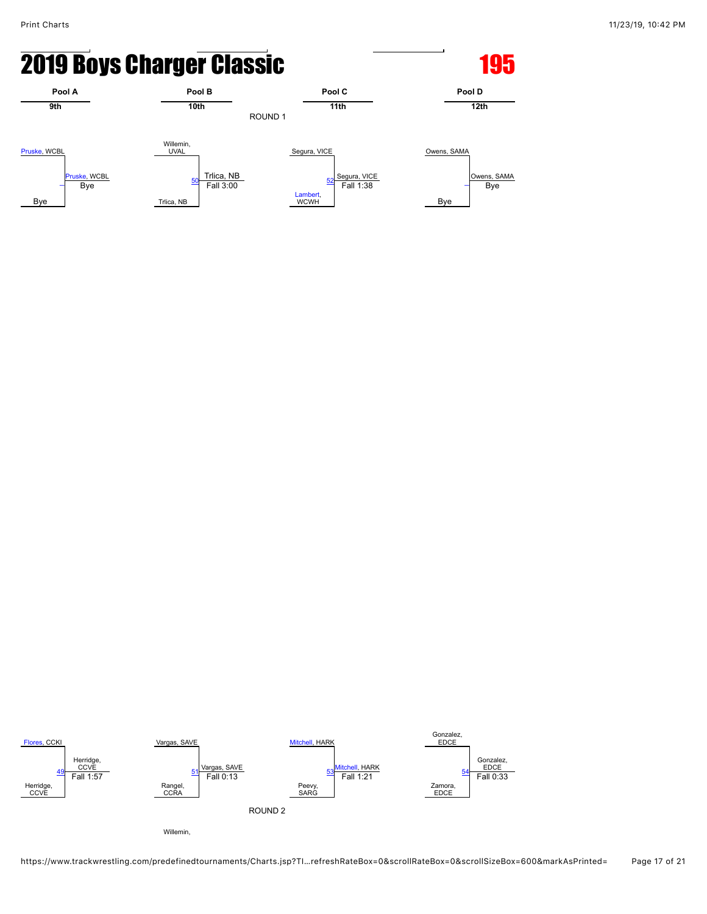# **2019 Boys Charger Classic <b>195** 195



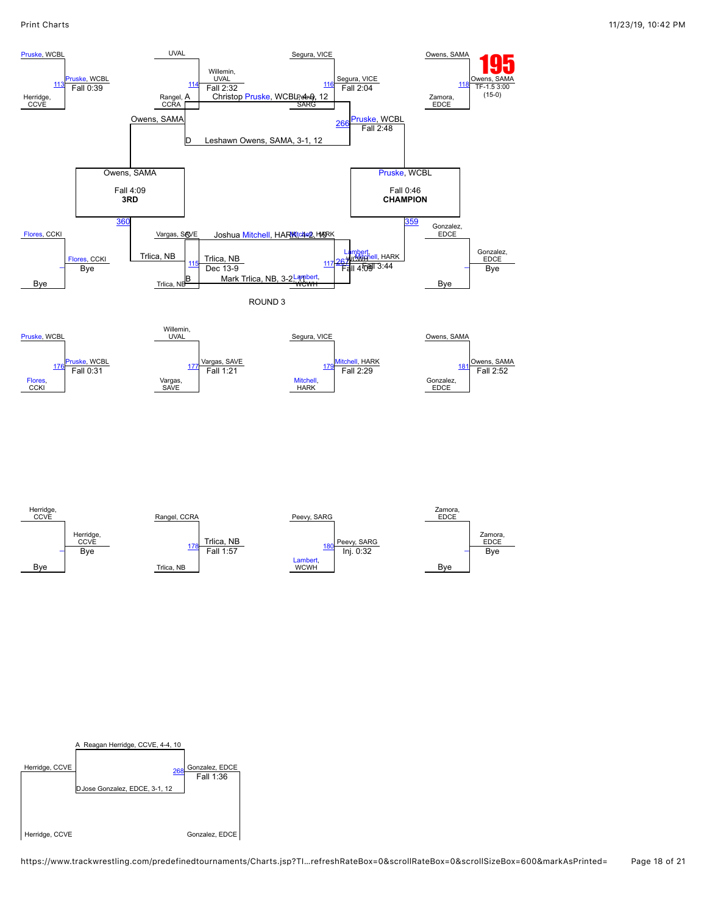

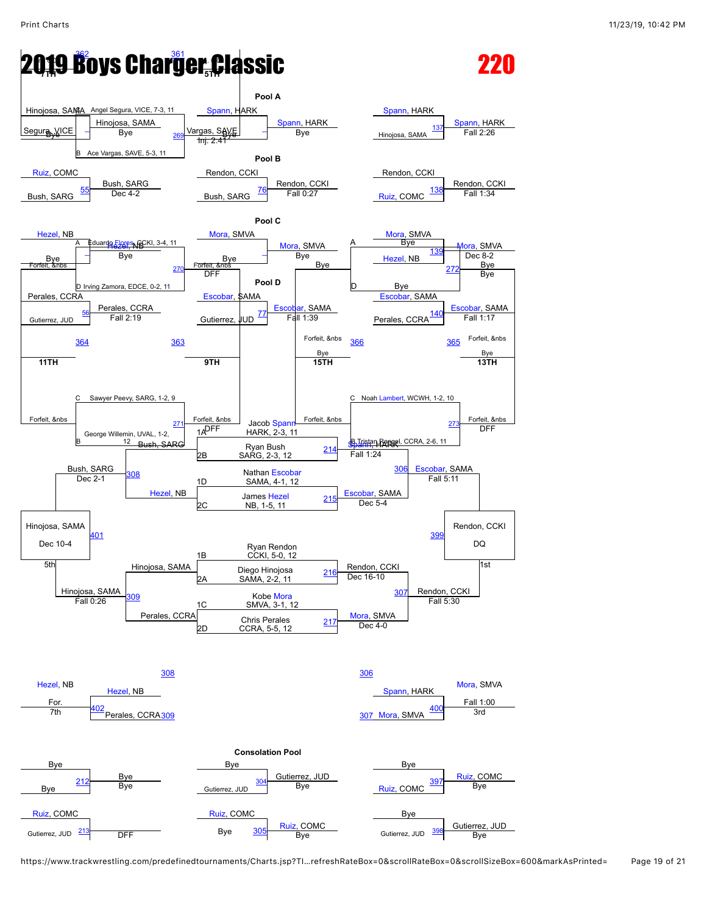### **2019 Boys Charger Classic 7TH 5TH**



https://www.trackwrestling.com/predefinedtournaments/Charts.jsp?TI…refreshRateBox=0&scrollRateBox=0&scrollSizeBox=600&markAsPrinted= Page 19 of 21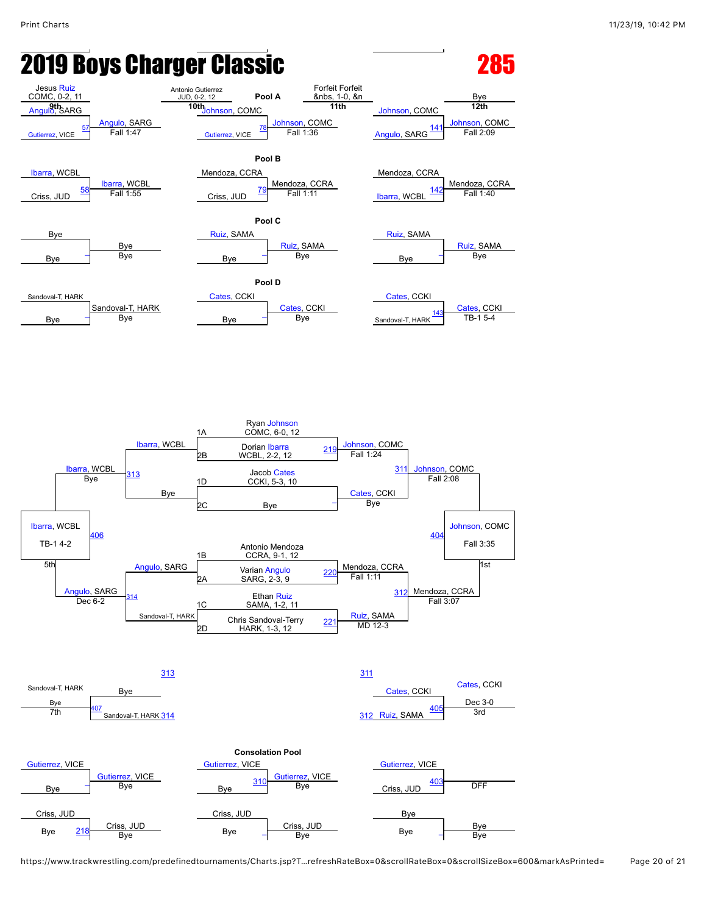# **2019 Boys Charger Classic Communist Class 285**



https://www.trackwrestling.com/predefinedtournaments/Charts.jsp?T…refreshRateBox=0&scrollRateBox=0&scrollSizeBox=600&markAsPrinted= Page 20 of 21